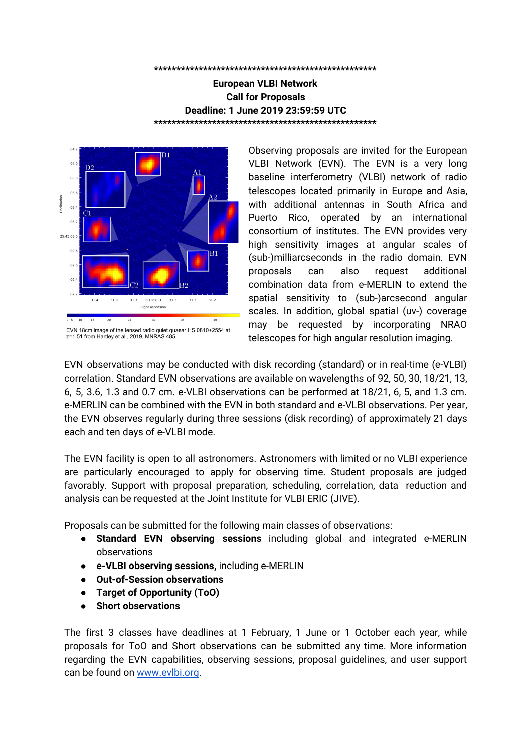#### **\*\*\*\*\*\*\*\*\*\*\*\*\*\*\*\*\*\*\*\*\*\*\*\*\*\*\*\*\*\*\*\*\*\*\*\*\*\*\*\*\*\*\*\*\*\*\*\*\*\***

#### **European VLBI Network Call for Proposals Deadline: 1 June 2019 23:59:59 UTC \*\*\*\*\*\*\*\*\*\*\*\*\*\*\*\*\*\*\*\*\*\*\*\*\*\*\*\*\*\*\*\*\*\*\*\*\*\*\*\*\*\*\*\*\*\*\*\*\*\***



EVN 18cm image of the lensed radio quiet quasar HS 0810+2554 at z=1.51 from Hartley et al., 2019, MNRAS 485.

Observing proposals are invited for the European VLBI Network (EVN). The EVN is a very long baseline interferometry (VLBI) network of radio telescopes located primarily in Europe and Asia, with additional antennas in South Africa and Puerto Rico, operated by an international consortium of institutes. The EVN provides very high sensitivity images at angular scales of (sub-)milliarcseconds in the radio domain. EVN proposals can also request additional combination data from e-MERLIN to extend the spatial sensitivity to (sub-)arcsecond angular scales. In addition, global spatial (uv-) coverage may be requested by incorporating NRAO telescopes for high angular resolution imaging.

EVN observations may be conducted with disk recording (standard) or in real-time (e-VLBI) correlation. Standard EVN observations are available on wavelengths of 92, 50, 30, 18/21, 13, 6, 5, 3.6, 1.3 and 0.7 cm. e-VLBI observations can be performed at 18/21, 6, 5, and 1.3 cm. e-MERLIN can be combined with the EVN in both standard and e-VLBI observations. Per year, the EVN observes regularly during three sessions (disk recording) of approximately 21 days each and ten days of e-VLBI mode.

The EVN facility is open to all astronomers. Astronomers with limited or no VLBI experience are particularly encouraged to apply for observing time. Student proposals are judged favorably. Support with proposal preparation, scheduling, correlation, data reduction and analysis can be requested at the Joint Institute for VLBI ERIC (JIVE).

Proposals can be submitted for the following main classes of observations:

- **Standard EVN observing sessions** including global and integrated e-MERLIN observations
- **e-VLBI observing sessions,** including e-MERLIN
- **Out-of-Session observations**
- **Target of Opportunity (ToO)**
- **Short observations**

The first 3 classes have deadlines at 1 February, 1 June or 1 October each year, while proposals for ToO and Short observations can be submitted any time. More information regarding the EVN capabilities, observing sessions, proposal guidelines, and user support can be found on [www.evlbi.org.](http://www.evlbi.org/)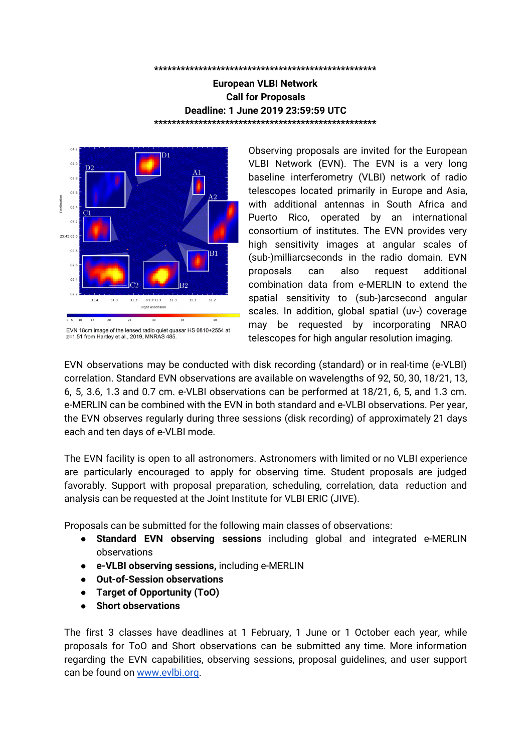#### **Large EVN Projects**

The EVN Programme Committee (PC) encourages the submission of large proposals (>48 hrs); these will be subject to more detailed scrutiny, and the EVN PC may, in some cases, attach conditions on the release of the data. There is in principle no upper limit to the size of an EVN large proposal and projects of more than one hundred hours have been granted. Large proposals can also be proposed as globals programmes (although note the different availability levels of VLBA, versus VLA and GBT, see 'Global VLBI proposals' below) and with the integration of e-MERLIN. Large projects involving several observing epochs will be asked for progress reports by the PC.

### **Proposal guidelines**

Standard EVN, e-VLBI and Out-of-Session proposals should be submitted through the Northstar [submission](http://proposal.jive.eu/) tool.

Proposals must include a Science & Technical justification, and optionally, figures, tables and references. These sections shall be submitted as a single PDF document. The total length of this document is limited to 4 pages (A4 or US Letter format), with a font size no smaller than 11 points. Proposers are free to adjust the length of the various proposal sections within this overall length limit.

The strongly recommended breakdown is 2 pages for the Science & Technical justification and 2 pages for figures, tables and references. Figures and tables may be interleaved with the science justification, so that e.g. figures appear close to the location in the text where references are made to them.

Guidelines for ToO and Short observations proposals can be found here: <http://www.jive.eu/jivewiki/doku.php?id=evn:guidelines> or the Operational modes section on <http://www.evlbi.org/capabilities>.

Questions regarding the proposal preparation can be sent to Zsolt Paragi zparagi@jive.eu. In case you need assistance, please indicate that well in advance of the deadline.

# **Recording capabilities for the next standard EVN and e-VLBI Sessions**

Disk recording at 2 Gbps is available at 6, 3.6, 1.3 and 0.7 cm at the majority of EVN telescopes. The remaining telescopes will record at 1 Gbps or highest possible bit-rate (mixed mode observation). The current status is given here: [https://deki.mpifr-bonn.mpg.de/Working\\_Groups/EVN\\_TOG/2Gbps](https://deki.mpifr-bonn.mpg.de/Working_Groups/EVN_TOG/2Gbps)

e-VLBI at 2 Gbps is available at 6cm and 1.3 cm at the majority of EVN telescopes. The remaining telescopes will observe at 1 Gbps or highest possible bit-rate (mixed mode observation). The current status is given here: [http://old.evlbi.org/evlbi/e-vlbi\\_status.html.](http://old.evlbi.org/evlbi/e-vlbi_status.html)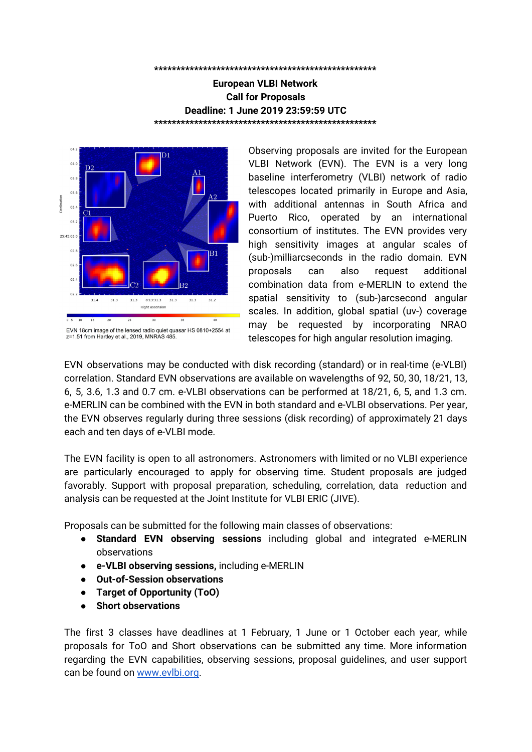The choice of data rate should be clearly justified in the proposal.

### **Upcoming standard EVN observing sessions (disk recording)**

2019 Session 3 Oct 17 - Nov 07 18/21 cm, 6 cm ... 2020 Session 1 Feb 20 - Mar 12 18/21 cm, 6 cm ... 2020 Session 2 May 21- Jun 11 18/21 cm, 6cm ..

Proposals received by 1 June 2019 will be considered for scheduling in Session 3, 2019 or later. Finalisation of the planned observing wavelengths will depend on proposal pressure and grade.

### **Upcoming e-VLBI Observing Sessions (real-time correlation)**

 Sep 17 13:00 UTC - Sep 18 13:00 UTC 18/21 cm, 6 cm, 5 cm, 1.3 cm Oct 15 13:00 UTC - Oct 16 13:00 UTC 18/21 cm, 6 cm, 5 cm, 1.3 cm Nov 12 13:00 UTC - Nov 13 13:00 UTC 18/21 cm, 6 cm, 5 cm, 1.3 cm Dec 03 13:00 UTC - Dec 04 13:00 UTC 18/21 cm, 6 cm, 5 cm, 1.3 cm

Successful proposals with an e-VLBI component submitted by the June 1 deadline will be considered for scheduling in the above e-VLBI sessions starting from 17 September 2019. Note that only one wavelength will be run in each e-VLBI session which will be based on the highest graded proposal.

e-VLBI sessions are intended for rapid response science or science with temporal constraints (transients, astrometry). The request for e-VLBI should be clearly justified in the proposal and if multi-epoch e-VLBI is requested proposals should also indicate the range of temporal cadence the proposal could sustain. Please consult th[e](http://old.evlbi.org/evlbi/e-vlbi_status.html) e-VLBI [website](http://old.evlbi.org/evlbi/e-vlbi_status.html) or the Operational modes section on <http://www.evlbi.org/capabilities> to check for possible updates, and for the available array.

#### **Out-of-Session Observing**

Out-of-Session observing time on user specified dates (up to a maximum of 144 hours/year), is available for both disk recording and e-VLBI modes. Proposals requesting Out-of-Session observing time must provide full scientific (and technical if appropriate) justification as to why observations must be made outside standard sessions.

Out-of-session observing will be scheduled in blocks of no less than 12 hours in duration (although proposals may request shorter observations), and occur no more than 10 times per year. Proposals should specify which dates/GST ranges are being requested and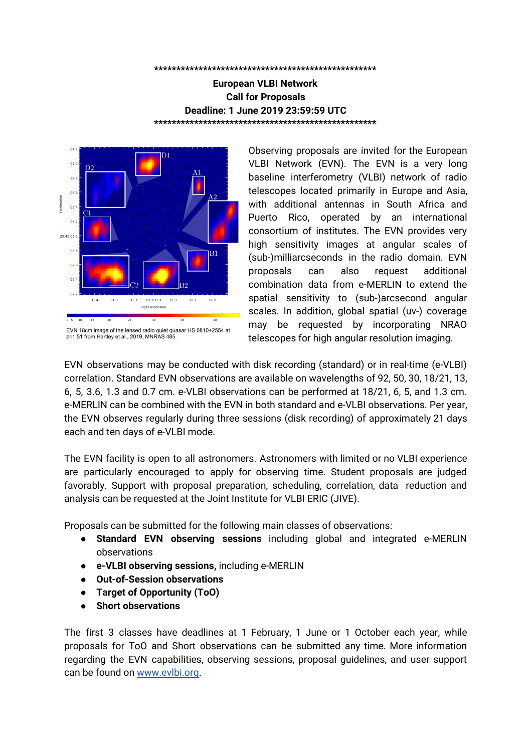indicate the minimum requirement in terms of numbers of telescopes (and any particular telescopes).

Proposals will only be considered for dates occurring after the regular EVN session that follows EVN proposal review.

**Urgent observations requiring much shorter lead times should be submitted as "Target-of-Opportunity" (ToO) proposals.**

# **Availability of EVN Antennas**



Image by Paul Boven (boven@jive.eu). Satellite image: Blue Marble Next Generation, courtesy of Nasa Visible Earth (visibleearth.nasa.gov)

The latest status of the EVN antennas can be consulted on: [http://old.evlbi.org/user\\_guide/EVNstatus.txt](http://old.evlbi.org/user_guide/EVNstatus.txt)

The **Arecibo Observatory** is again available for VLBI observations. However, severe flooding following Hurricane Maria, has caused a deformation of a localised area of the dish affecting its exact sphericity. This has resulted in a drop of Arecibo's high-frequency gain that can be quantified at 18cm as an SEFD of ~3.1-3.5 Jy (cf. an SEFD of ~2.2-2.5 Jy normally expected for zenith angles less than 16 deg) and at 6 cm as an SEFD of ~7.3 Jy (cf. an expected SEFD of ~3.5 Jy between zenith angles 3 and 15 deg). The dish deformation has been surveyed, and the readjustment to return the surface to be truly spherical is expected to be realised in 2019.

The **Tianma 65m telescope** (Tm65), about 6 km away from the 25 m Seshan telescope (Sh). The 2-letter abbreviation for Tm65 telescope is T6. Both of these telescopes can observe at 18, 13, 6, 5, 3.6 and 3.6/13 cm. Tm65 can also observe at 21, 1.3 and 0.7 cm. Tm65 is the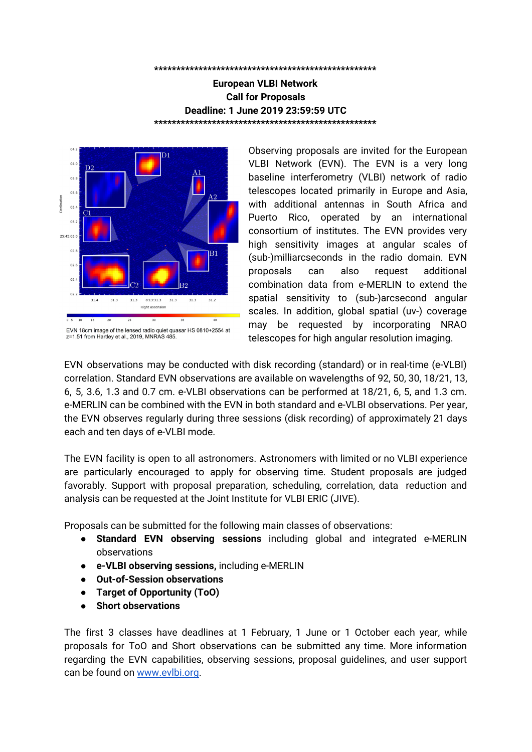default telescope; Sh will be used if the Tm65 is not available for some reason. If you select both, you should also discuss the motivation for the very short baseline in the proposal.

The **Korean VLBI Network** (KVN) is an Associate Member of the EVN. KVN telescopes may be requested for EVN observations at 1.3 cm and 7 mm wavelengths. For more details regarding the KVN, see: [http://radio.kasi.re.kr/kvn/main\\_kvn.php](http://radio.kasi.re.kr/kvn/main_kvn.php)

The **Kunming 40 m telescope**, an affiliated EVN station situated on Phoenix Mountain, about 10 km east of the city of Kunming, China, may be requested (and will participate on a best efforts basis) for EVN disk-recording observations at 13, 6, 5 and 3.6 cm wavelengths.

### **Integration of e-MERLIN Telescopes into the EVN**

Integrated **e-MERLIN + EVN** observations are now available using up to 5 e-MERLIN outstations at 512Mbps; in addition to the selected Jodrell Bank home station. This additional capability provides short-spacing coverage between 11 and 220 km within e-MERLIN together with intermediate and long baselines between e-MERLIN and EVN antennas in both disk-recording and e-VLBI mode.

PIs can request multiple e-MERLIN outstation antennas (all, or a subset of Pi, Da, Kn, De, Cm) in addition to an EVN homestation antenna at JBO (Jb1 or Jb2). Such proposals should clearly indicate that they are e-MERLIN+EVN observing requests and provide clear scientific/technical justification for the inclusion of e-MERLIN telescopes, including why e-MERLIN outstation antennas are required for the science goal delivery. In addition to EVN PC approval, these requests will be forwarded by the EVN to the e-MERLIN TAG for approval of the specific e-MERLIN contribution. For approved



Radio emission from the starburst galaxy Arp 220, illustrating the angular scales covered by EVN+eMERLIN observations, showing the two nuclei of Arp220, dominated by star formation, (e-MERLIN) and the large population of supernovae and supernovae remnants (VLBI). This e-MERLIN (colour), with a resolution of 0.2 arcseconds, and VLBI (contours, visible as dots) at ~1.5 milliarcsecond resolution overlay image shows data presented by Varenius et al., 2014, A&A 593 and Varenius et al., 2019, A&A 632, respectively.

projects e-MERLIN outstation data will then be available for full correlation with other EVN antennas. EVN proposals requesting only Jb1 or Jb2 are still considered as standard EVN proposals and will only require approval by the EVN PC. Full bandwidth e-MERLIN observations will require a separate linked e-MERLIN proposal which should be submitted by the PI to e-MERLIN. For more information see: <http://www.e-merlin.ac.uk/>

For e-MERLIN outstations correlated within the EVN, the maximum bitrate available for each outstation correlation at JIVE (both disk and e-VLBI) is 512Mbps – equivalent to 2 polarizations at 64 MHz bandwidth. Thus the PI may request up to 5 outstation telescopes in dual polarization mode with a bandwidth of 64 MHz per polarization in addition to the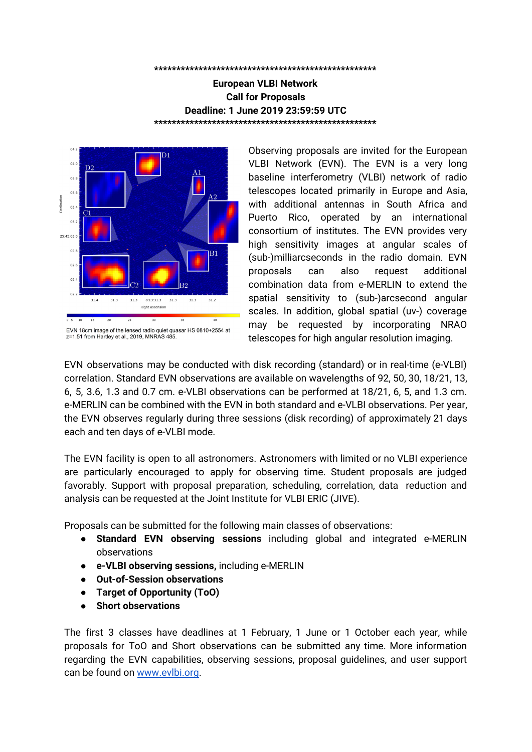e-MERLIN homestation antenna at up to 1 Gbps depending on the observing wavelength (2 polarizations at 128 MHz bandwidth).

For further enquiries regarding e-MERLIN + EVN observations please see the e-MERLIN Contact Web page: <http://www.e-merlin.ac.uk/contact.html> or alternatively email to vlbi@jb.man.ac.uk

# **Global VLBI Proposals**

Global VLBI proposals can be proposed up to 2 Gbps including VLBA, GBT and the JVLA. Global proposals will be forwarded to NRAO automatically and should not be submitted to NRAO separately. Given the constraints in the availability, particularly of the large aperture telescopes in the US, proposers are asked to clearly justify the need for and illustrate the plan of use for these antennae.

The **Green Bank Telescope**, has transitioned into a new partnership arrangement, the Green Bank Observatory (GBO). Time available for global VLBI on the GBT is small (VLBI typically accounts for 10% of Open Skies observing at the GBT), and only the most highly rated proposals across all GBT observation types will be awarded time. Additionally, proposers should be aware that long scheduling blocks (more than 6 hours) will be very difficult to schedule owing to constraints coming from non-NSF GBO partners. Proposers are encouraged to make clear in the technical justification section any constraints about how observing time could be broken into smaller pieces without adversely affecting the proposed science; include information as relevant regarding maximum elapsed time of a split schedule and minimum scheduling block lengths.

Observations using the GBT 6 cm receiver must be taken, correlated, and calibrated in full Stokes mode. Due to the large cross talk between polarisations, only total intensity (Stokes I) data will be usable.

The **Very Long Baseline Array** (VLBA) has no limit to hours spent performing global VLBI. Use of VLBA for Open Skies observing is guided by the scientific merit of the proposal.

The **Karl G. Jansky Very Large Array** (VLA) follows the same model as VLBA in that there are no restrictions on total hours of joint observing time but telescope time access is quite competitive so a good justification is required.

Some modes may require different bandwidth channels at different telescopes, which can be handled by the software correlator (SFXC). JIVE support staff will work with Socorro to assist you during the scheduling process of such observations. Global observations will be correlated at the SFXC correlator at JIVE (default) or at the DiFX correlator in Bonn or at the DiFX correlator in Socorro (if appropriate justification is given in the proposal).